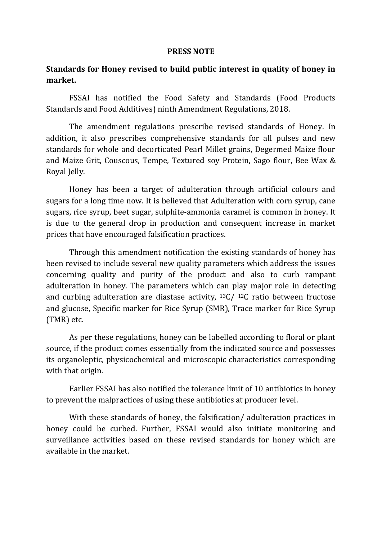## **PRESS NOTE**

## **Standards for Honey revised to build public interest in quality of honey in market.**

FSSAI has notified the Food Safety and Standards (Food Products Standards and Food Additives) ninth Amendment Regulations, 2018.

The amendment regulations prescribe revised standards of Honey. In addition, it also prescribes comprehensive standards for all pulses and new standards for whole and decorticated Pearl Millet grains, Degermed Maize flour and Maize Grit, Couscous, Tempe, Textured soy Protein, Sago flour, Bee Wax & Royal Jelly.

Honey has been a target of adulteration through artificial colours and sugars for a long time now. It is believed that Adulteration with corn syrup, cane sugars, rice syrup, beet sugar, sulphite-ammonia caramel is common in honey. It is due to the general drop in production and consequent increase in market prices that have encouraged falsification practices.

Through this amendment notification the existing standards of honey has been revised to include several new quality parameters which address the issues concerning quality and purity of the product and also to curb rampant adulteration in honey. The parameters which can play major role in detecting and curbing adulteration are diastase activity, 13C/ 12C ratio between fructose and glucose, Specific marker for Rice Syrup (SMR), Trace marker for Rice Syrup (TMR) etc.

As per these regulations, honey can be labelled according to floral or plant source, if the product comes essentially from the indicated source and possesses its organoleptic, physicochemical and microscopic characteristics corresponding with that origin.

Earlier FSSAI has also notified the tolerance limit of 10 antibiotics in honey to prevent the malpractices of using these antibiotics at producer level.

With these standards of honey, the falsification/ adulteration practices in honey could be curbed. Further, FSSAI would also initiate monitoring and surveillance activities based on these revised standards for honey which are available in the market.